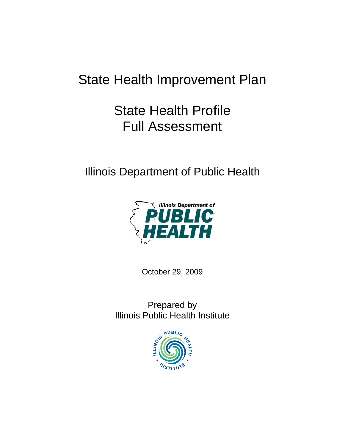# State Health Improvement Plan

# State Health Profile Full Assessment

Illinois Department of Public Health



October 29, 2009

Prepared by Illinois Public Health Institute

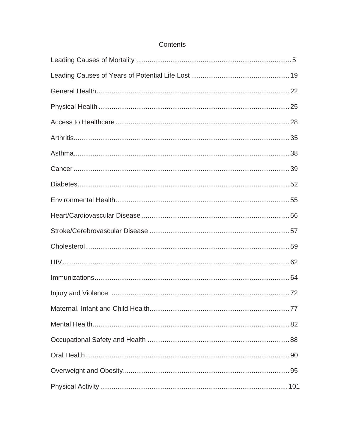### Contents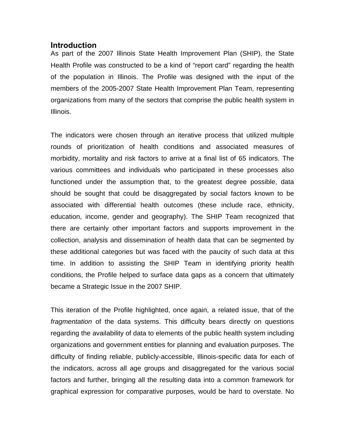#### **Introduction**

As part of the 2007 Illinois State Health Improvement Plan (SHIP), the State Health Profile was constructed to be a kind of "report card" regarding the health of the population in Illinois. The Profile was designed with the input of the members of the 2005-2007 State Health Improvement Plan Team, representing organizations from many of the sectors that comprise the public health system in Illinois.

The indicators were chosen through an iterative process that utilized multiple rounds of prioritization of health conditions and associated measures of morbidity, mortality and risk factors to arrive at a final list of 65 indicators. The various committees and individuals who participated in these processes also functioned under the assumption that, to the greatest degree possible, data should be sought that could be disaggregated by social factors known to be associated with differential health outcomes (these include race, ethnicity, education, income, gender and geography). The SHIP Team recognized that there are certainly other important factors and supports improvement in the collection, analysis and dissemination of health data that can be segmented by these additional categories but was faced with the paucity of such data at this time. In addition to assisting the SHIP Team in identifying priority health conditions, the Profile helped to surface data gaps as a concern that ultimately became a Strategic Issue in the 2007 SHIP.

This iteration of the Profile highlighted, once again, a related issue, that of the *fragmentation* of the data systems. This difficulty bears directly on questions regarding the availability of data to elements of the public health system including organizations and government entities for planning and evaluation purposes. The difficulty of finding reliable, publicly-accessible, Illinois-specific data for each of the indicators, across all age groups and disaggregated for the various social factors and further, bringing all the resulting data into a common framework for graphical expression for comparative purposes, would be hard to overstate. No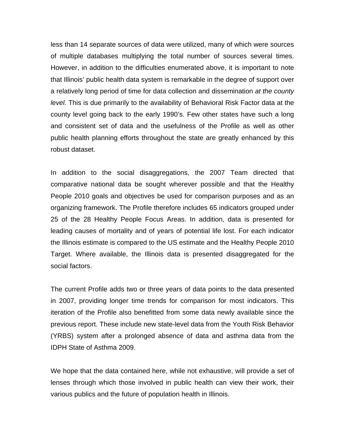less than 14 separate sources of data were utilized, many of which were sources of multiple databases multiplying the total number of sources several times. However, in addition to the difficulties enumerated above, it is important to note that Illinois' public health data system is remarkable in the degree of support over a relatively long period of time for data collection and dissemination *at the county level.* This is due primarily to the availability of Behavioral Risk Factor data at the county level going back to the early 1990's. Few other states have such a long and consistent set of data and the usefulness of the Profile as well as other public health planning efforts throughout the state are greatly enhanced by this robust dataset.

In addition to the social disaggregations, the 2007 Team directed that comparative national data be sought wherever possible and that the Healthy People 2010 goals and objectives be used for comparison purposes and as an organizing framework. The Profile therefore includes 65 indicators grouped under 25 of the 28 Healthy People Focus Areas. In addition, data is presented for leading causes of mortality and of years of potential life lost. For each indicator the Illinois estimate is compared to the US estimate and the Healthy People 2010 Target. Where available, the Illinois data is presented disaggregated for the social factors.

The current Profile adds two or three years of data points to the data presented in 2007, providing longer time trends for comparison for most indicators. This iteration of the Profile also benefitted from some data newly available since the previous report. These include new state-level data from the Youth Risk Behavior (YRBS) system after a prolonged absence of data and asthma data from the IDPH State of Asthma 2009.

We hope that the data contained here, while not exhaustive, will provide a set of lenses through which those involved in public health can view their work, their various publics and the future of population health in Illinois.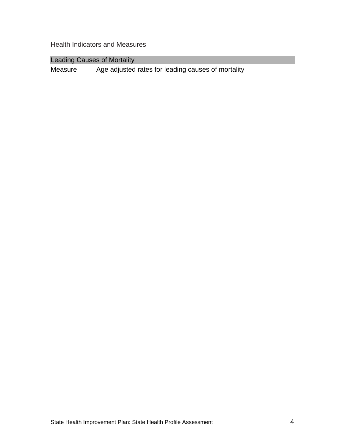Health Indicators and Measures

Leading Causes of Mortality

Measure Age adjusted rates for leading causes of mortality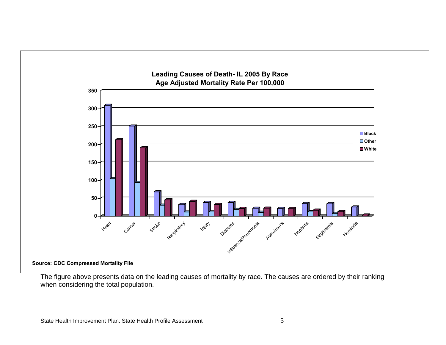

The figure above presents data on the leading causes of mortality by race. The causes are ordered by their ranking when considering the total population.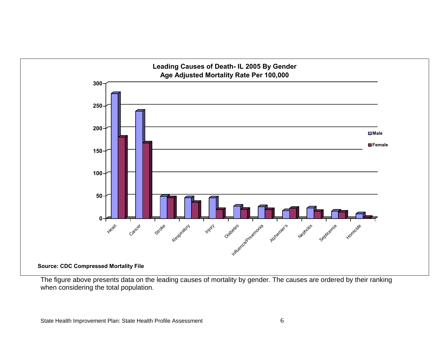![](_page_8_Figure_0.jpeg)

The figure above presents data on the leading causes of mortality by gender. The causes are ordered by their ranking when considering the total population.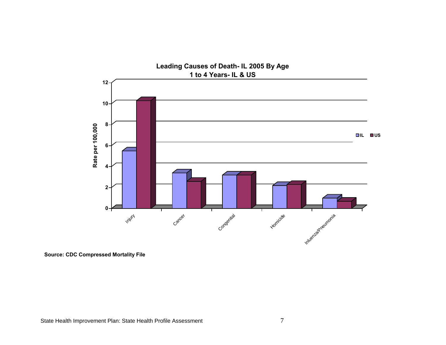![](_page_9_Figure_0.jpeg)

**Source: CDC Compressed Mortality File**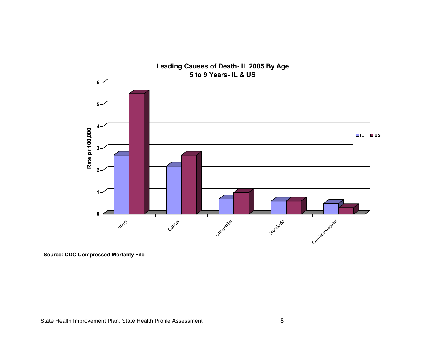![](_page_10_Figure_0.jpeg)

**Source: CDC Compressed Mortality File**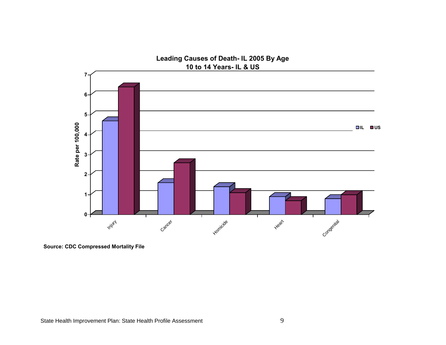![](_page_11_Figure_0.jpeg)

**Source: CDC Compressed Mortality File**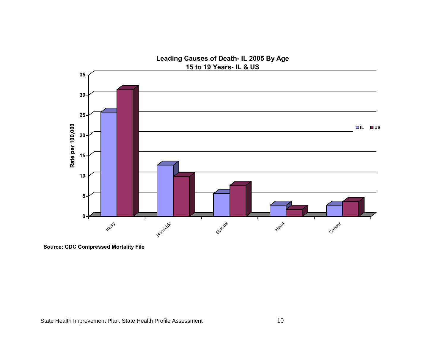![](_page_12_Figure_0.jpeg)

**Source: CDC Compressed Mortality File**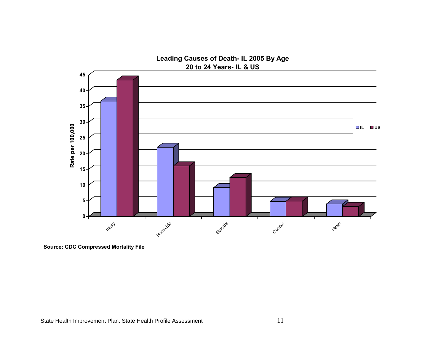![](_page_13_Figure_0.jpeg)

**Source: CDC Compressed Mortality File**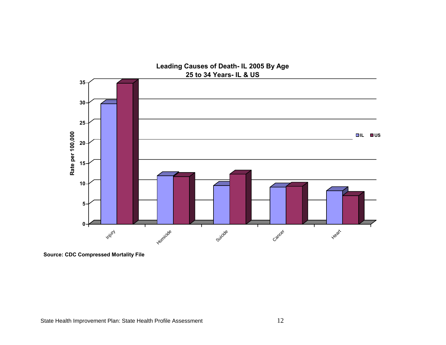![](_page_14_Figure_0.jpeg)

**Source: CDC Compressed Mortality File**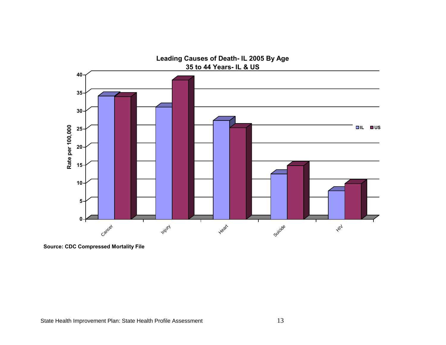![](_page_15_Figure_0.jpeg)

**Source: CDC Compressed Mortality File**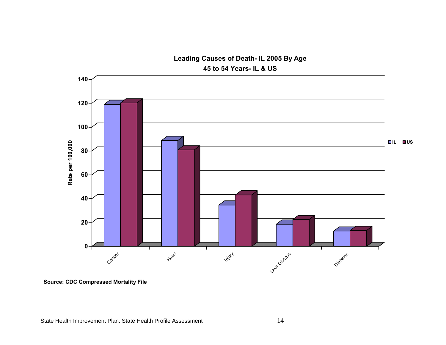![](_page_16_Figure_0.jpeg)

**Leading Causes of Death- IL 2005 By Age**

**Source: CDC Compressed Mortality File**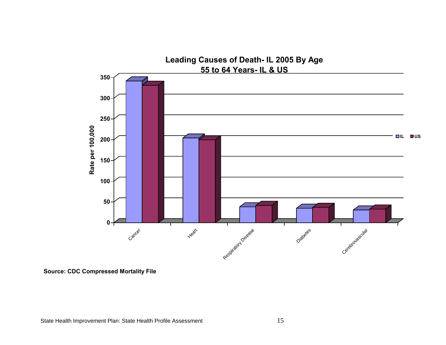![](_page_17_Figure_0.jpeg)

**Source: CDC Compressed Mortality File**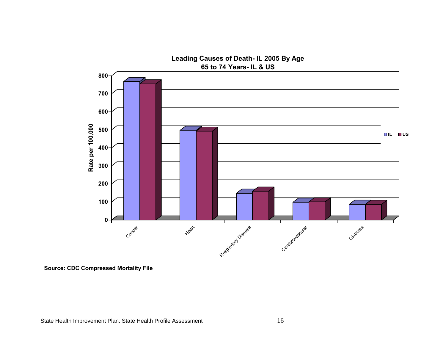![](_page_18_Figure_0.jpeg)

**Source: CDC Compressed Mortality File**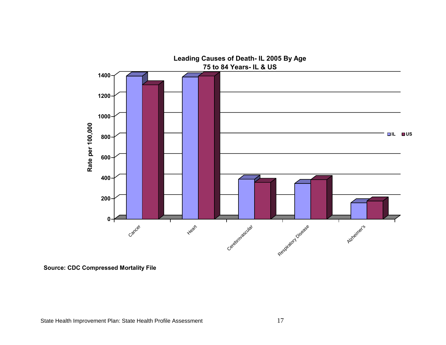![](_page_19_Figure_0.jpeg)

**Source: CDC Compressed Mortality File**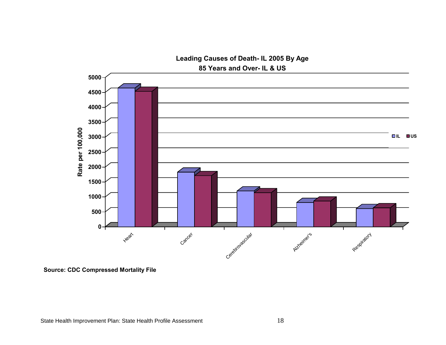![](_page_20_Figure_0.jpeg)

**Source: CDC Compressed Mortality File**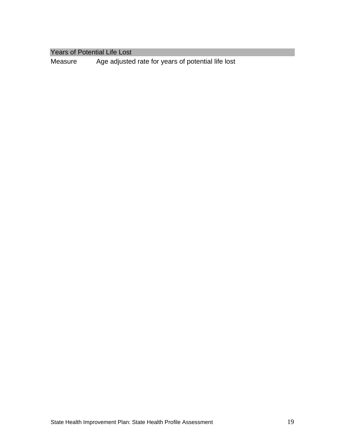Years of Potential Life Lost

Measure Age adjusted rate for years of potential life lost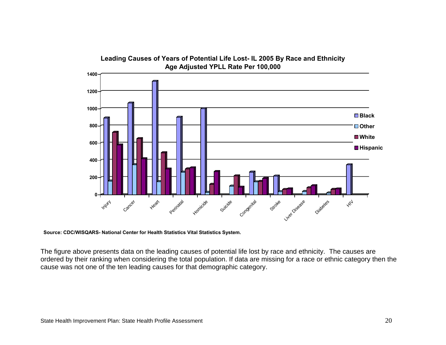![](_page_22_Figure_0.jpeg)

**Source: CDC/WISQARS- National Center for Health Statistics Vital Statistics System.** 

The figure above presents data on the leading causes of potential life lost by race and ethnicity. The causes are ordered by their ranking when considering the total population. If data are missing for a race or ethnic category then the cause was not one of the ten leading causes for that demographic category.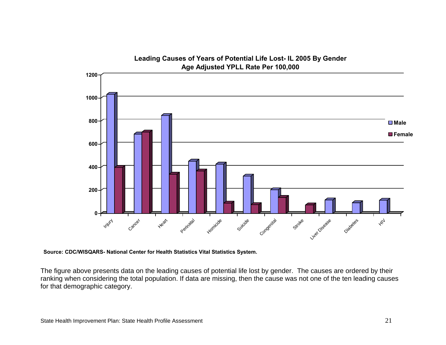![](_page_23_Figure_0.jpeg)

**Source: CDC/WISQARS- National Center for Health Statistics Vital Statistics System.** 

The figure above presents data on the leading causes of potential life lost by gender. The causes are ordered by their ranking when considering the total population. If data are missing, then the cause was not one of the ten leading causes for that demographic category.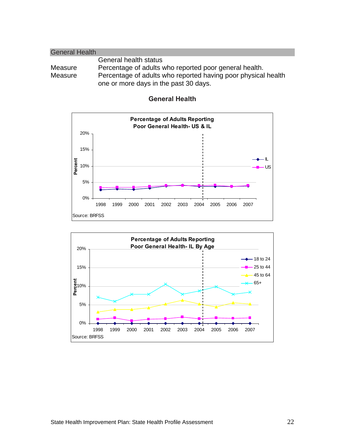| <b>General Health</b> |                                                               |
|-----------------------|---------------------------------------------------------------|
|                       | General health status                                         |
| Measure               | Percentage of adults who reported poor general health.        |
| Measure               | Percentage of adults who reported having poor physical health |
|                       | one or more days in the past 30 days.                         |

![](_page_24_Figure_1.jpeg)

![](_page_24_Figure_2.jpeg)

![](_page_24_Figure_3.jpeg)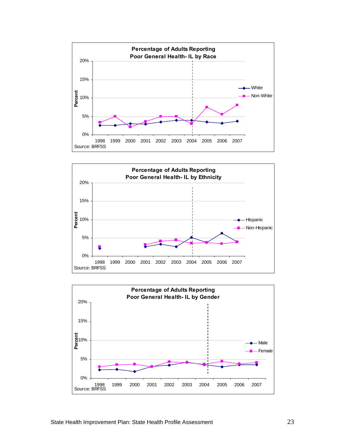![](_page_25_Figure_0.jpeg)

![](_page_25_Figure_1.jpeg)

![](_page_25_Figure_2.jpeg)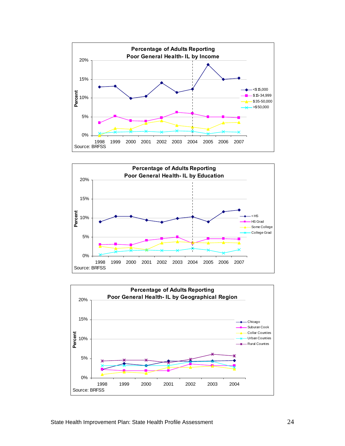![](_page_26_Figure_0.jpeg)

![](_page_26_Figure_1.jpeg)

![](_page_26_Figure_2.jpeg)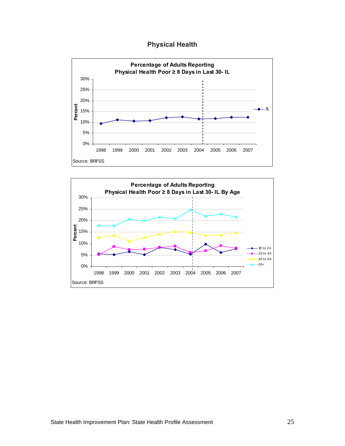**Physical Health** 

![](_page_27_Figure_1.jpeg)

![](_page_27_Figure_2.jpeg)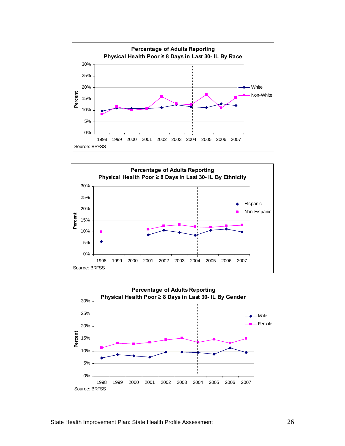![](_page_28_Figure_0.jpeg)

![](_page_28_Figure_1.jpeg)

![](_page_28_Figure_2.jpeg)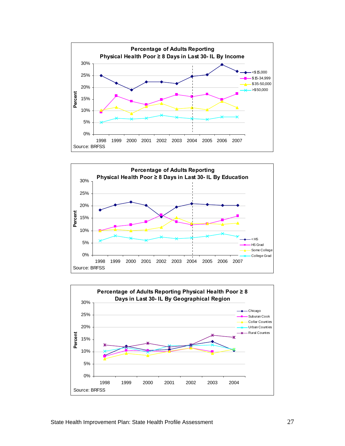![](_page_29_Figure_0.jpeg)

![](_page_29_Figure_1.jpeg)

![](_page_29_Figure_2.jpeg)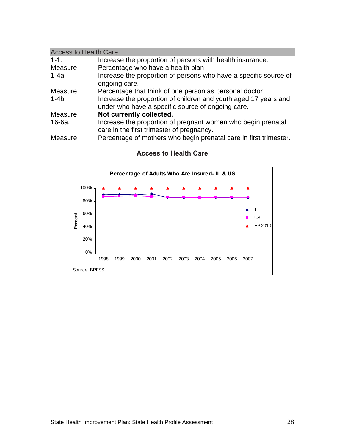| <b>Access to Health Care</b> |                                                                   |  |
|------------------------------|-------------------------------------------------------------------|--|
| $1 - 1$ .                    | Increase the proportion of persons with health insurance.         |  |
| Measure                      | Percentage who have a health plan                                 |  |
| 1-4a.                        | Increase the proportion of persons who have a specific source of  |  |
|                              | ongoing care.                                                     |  |
| Measure                      | Percentage that think of one person as personal doctor            |  |
| $1 - 4b.$                    | Increase the proportion of children and youth aged 17 years and   |  |
|                              | under who have a specific source of ongoing care.                 |  |
| Measure                      | Not currently collected.                                          |  |
| 16-6a.                       | Increase the proportion of pregnant women who begin prenatal      |  |
|                              | care in the first trimester of pregnancy.                         |  |
| Measure                      | Percentage of mothers who begin prenatal care in first trimester. |  |

![](_page_30_Figure_1.jpeg)

### **Access to Health Care**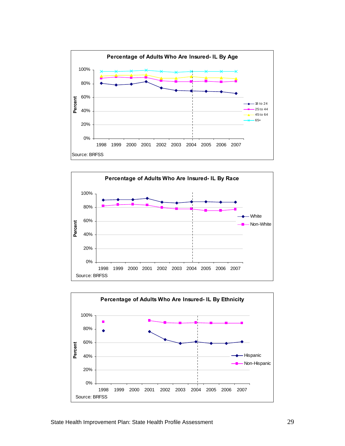![](_page_31_Figure_0.jpeg)

![](_page_31_Figure_1.jpeg)

![](_page_31_Figure_2.jpeg)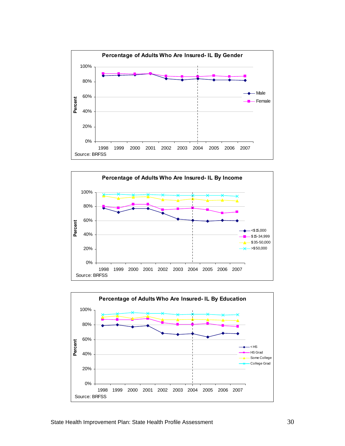![](_page_32_Figure_0.jpeg)

![](_page_32_Figure_1.jpeg)

![](_page_32_Figure_2.jpeg)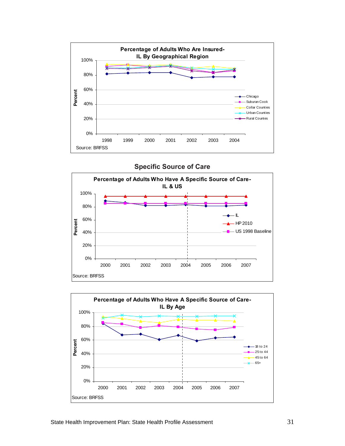![](_page_33_Figure_0.jpeg)

**Specific Source of Care** 

![](_page_33_Figure_2.jpeg)

![](_page_33_Figure_3.jpeg)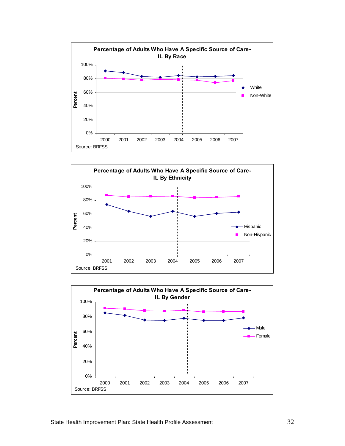![](_page_34_Figure_0.jpeg)

![](_page_34_Figure_1.jpeg)

![](_page_34_Figure_2.jpeg)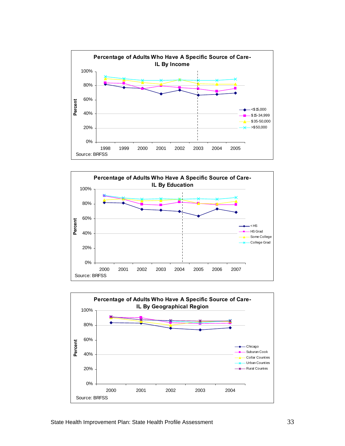![](_page_35_Figure_0.jpeg)

![](_page_35_Figure_1.jpeg)

![](_page_35_Figure_2.jpeg)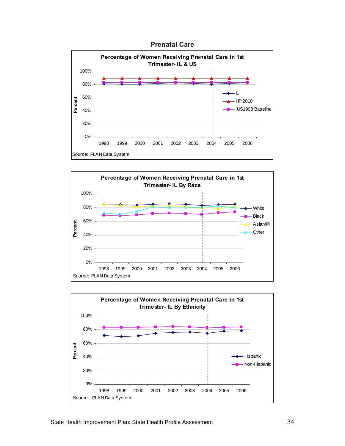



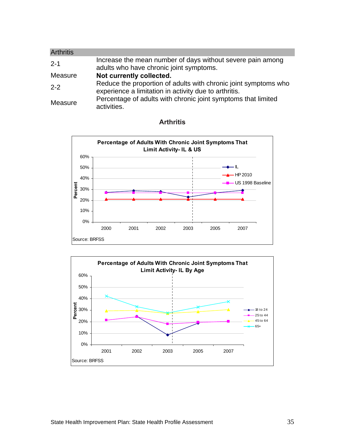| <b>Arthritis</b> |                                                                                                                          |
|------------------|--------------------------------------------------------------------------------------------------------------------------|
| $2 - 1$          | Increase the mean number of days without severe pain among<br>adults who have chronic joint symptoms.                    |
| Measure          | Not currently collected.                                                                                                 |
| $2 - 2$          | Reduce the proportion of adults with chronic joint symptoms who<br>experience a limitation in activity due to arthritis. |
| Measure          | Percentage of adults with chronic joint symptoms that limited<br>activities.                                             |



### **Arthritis**

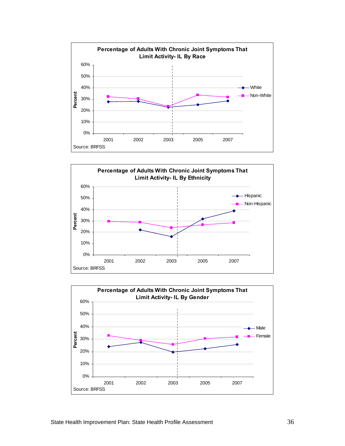



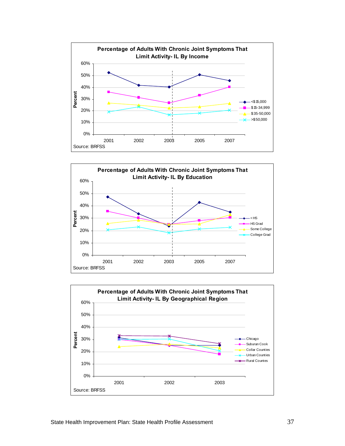



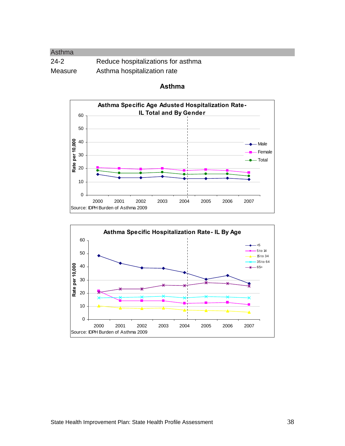| Asthma  |                                    |
|---------|------------------------------------|
| $24-2$  | Reduce hospitalizations for asthma |
| Measure | Asthma hospitalization rate        |



#### **Asthma**

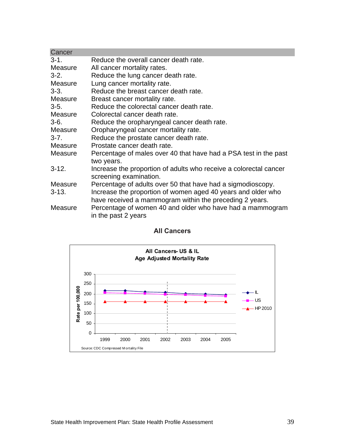| Cancer         |                                                                                                                         |
|----------------|-------------------------------------------------------------------------------------------------------------------------|
| $3 - 1$ .      | Reduce the overall cancer death rate.                                                                                   |
| Measure        | All cancer mortality rates.                                                                                             |
| $3-2.$         | Reduce the lung cancer death rate.                                                                                      |
| Measure        | Lung cancer mortality rate.                                                                                             |
| $3 - 3$ .      | Reduce the breast cancer death rate.                                                                                    |
| Measure        | Breast cancer mortality rate.                                                                                           |
| $3-5.$         | Reduce the colorectal cancer death rate.                                                                                |
| Measure        | Colorectal cancer death rate.                                                                                           |
| $3-6.$         | Reduce the oropharyngeal cancer death rate.                                                                             |
| Measure        | Oropharyngeal cancer mortality rate.                                                                                    |
| $3 - 7$ .      | Reduce the prostate cancer death rate.                                                                                  |
| Measure        | Prostate cancer death rate.                                                                                             |
| <b>Measure</b> | Percentage of males over 40 that have had a PSA test in the past<br>two years.                                          |
| $3 - 12.$      | Increase the proportion of adults who receive a colorectal cancer<br>screening examination.                             |
| Measure        | Percentage of adults over 50 that have had a sigmodioscopy.                                                             |
| $3 - 13.$      | Increase the proportion of women aged 40 years and older who<br>have received a mammogram within the preceding 2 years. |
| <b>Measure</b> | Percentage of women 40 and older who have had a mammogram<br>in the past 2 years                                        |

# **All Cancers**

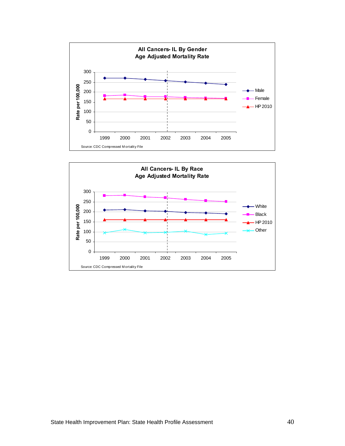

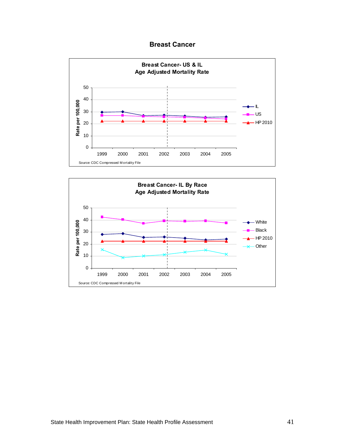### **Breast Cancer**



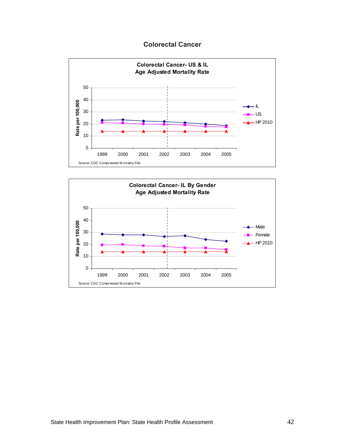## **Colorectal Cancer**



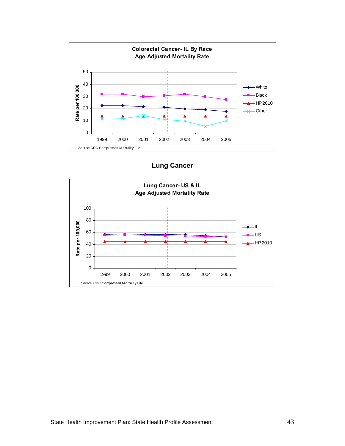

**Lung Cancer** 

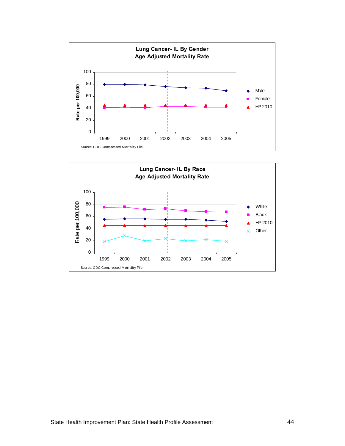

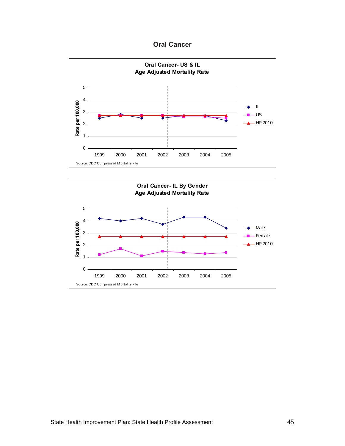**Oral Cancer** 



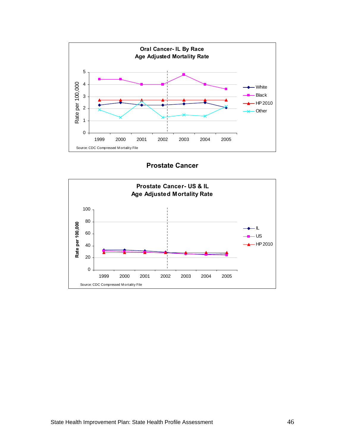

**Prostate Cancer** 

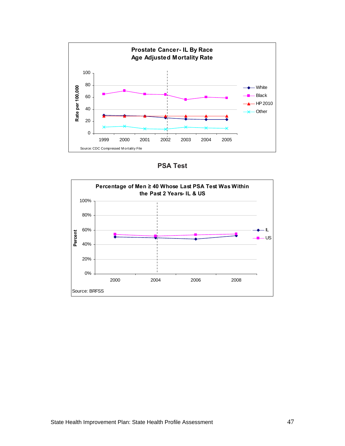

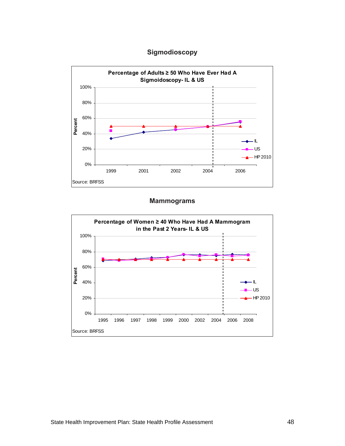# **Sigmodioscopy**



#### **Mammograms**

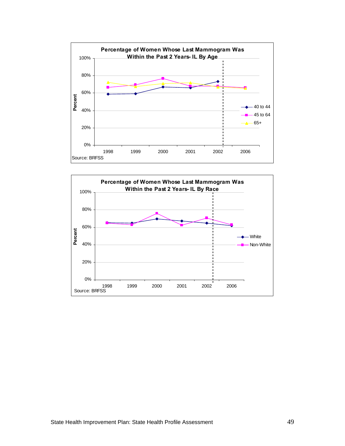

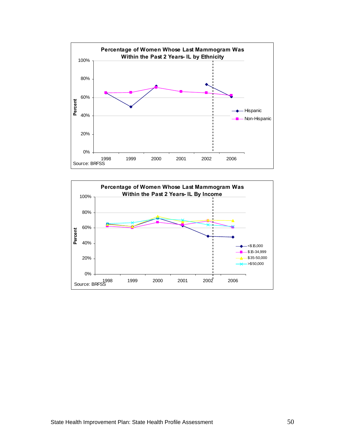

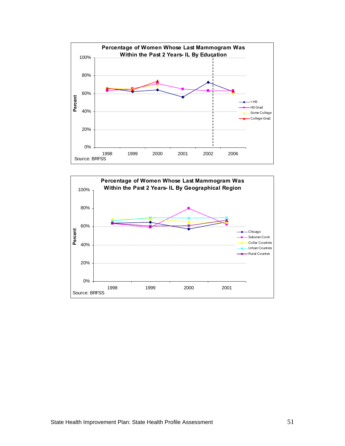

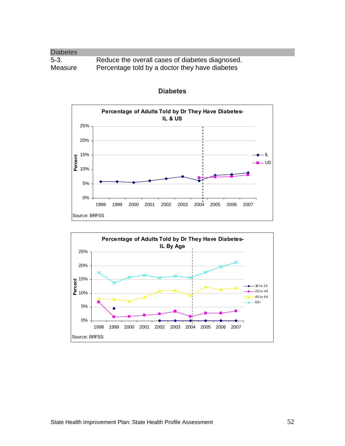| <b>Diabetes</b> |                                                 |
|-----------------|-------------------------------------------------|
| $5-3.$          | Reduce the overall cases of diabetes diagnosed. |
| Measure         | Percentage told by a doctor they have diabetes  |



## **Diabetes**

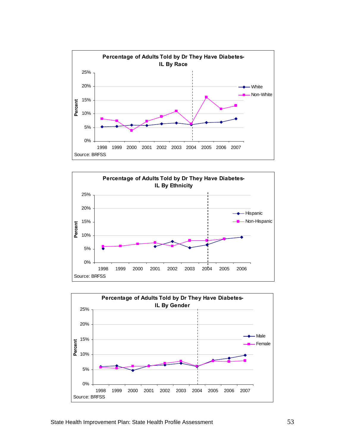



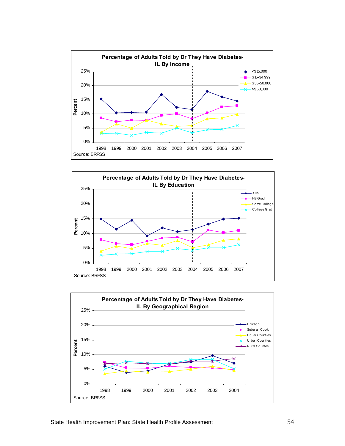



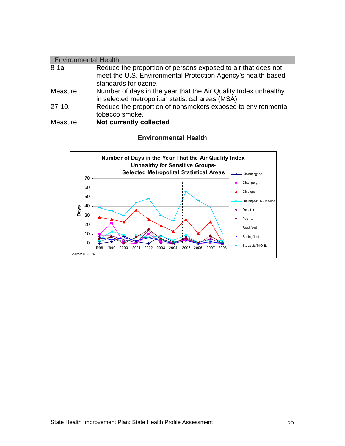| <b>Environmental Health</b> |                                                                                                                                                       |  |
|-----------------------------|-------------------------------------------------------------------------------------------------------------------------------------------------------|--|
| $8-1a.$                     | Reduce the proportion of persons exposed to air that does not<br>meet the U.S. Environmental Protection Agency's health-based<br>standards for ozone. |  |
| Measure                     | Number of days in the year that the Air Quality Index unhealthy<br>in selected metropolitan statistical areas (MSA)                                   |  |
| $27-10.$                    | Reduce the proportion of nonsmokers exposed to environmental<br>tobacco smoke.                                                                        |  |
| <b>Measure</b>              | <b>Not currently collected</b>                                                                                                                        |  |

# **Environmental Health**

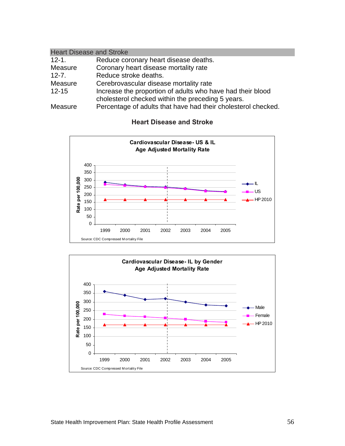| <b>Heart Disease and Stroke</b> |                                                               |
|---------------------------------|---------------------------------------------------------------|
| $12 - 1.$                       | Reduce coronary heart disease deaths.                         |
| Measure                         | Coronary heart disease mortality rate                         |
| $12 - 7$ .                      | Reduce stroke deaths.                                         |
| Measure                         | Cerebrovascular disease mortality rate                        |
| $12 - 15$                       | Increase the proportion of adults who have had their blood    |
|                                 | cholesterol checked within the preceding 5 years.             |
| Measure                         | Percentage of adults that have had their cholesterol checked. |



#### **Heart Disease and Stroke**

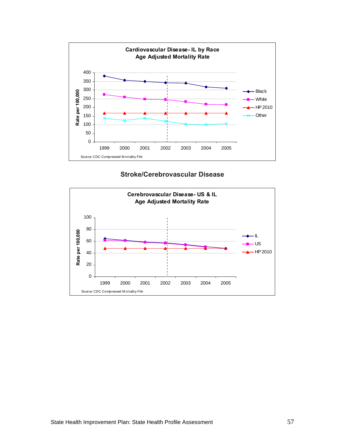



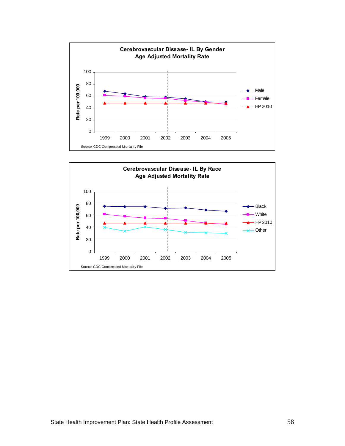

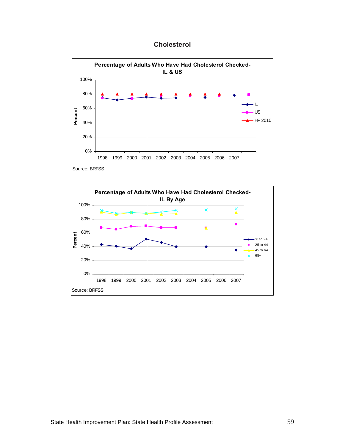**Cholesterol** 



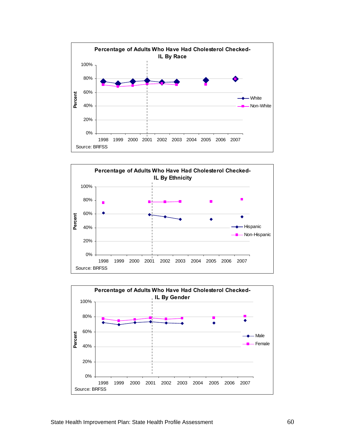



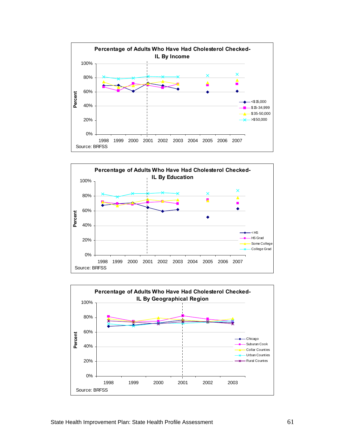



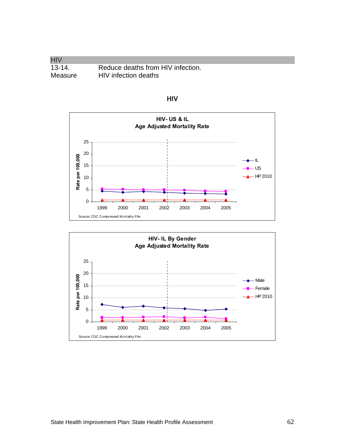**HIV** 13-14. Reduce deaths from HIV infection.<br>Measure HIV infection deaths HIV infection deaths



**HIV** 

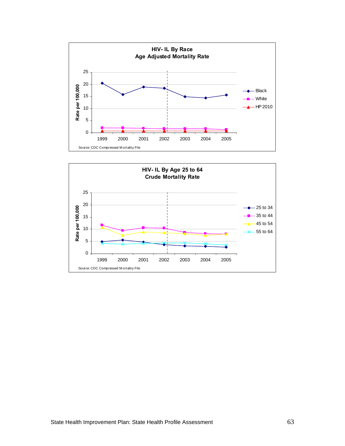

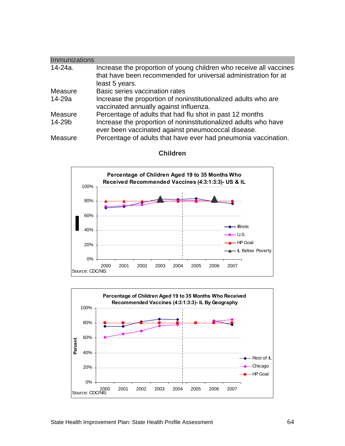| <b>Immunizations</b> |                                                                                                                                                        |
|----------------------|--------------------------------------------------------------------------------------------------------------------------------------------------------|
| 14-24a.              | Increase the proportion of young children who receive all vaccines<br>that have been recommended for universal administration for at<br>least 5 years. |
| Measure              | Basic series vaccination rates                                                                                                                         |
| 14-29a               | Increase the proportion of noninstitutionalized adults who are<br>vaccinated annually against influenza.                                               |
| Measure              | Percentage of adults that had flu shot in past 12 months                                                                                               |
| 14-29b               | Increase the proportion of noninstitutionalized adults who have<br>ever been vaccinated against pneumococcal disease.                                  |
| Measure              | Percentage of adults that have ever had pneumonia vaccination.                                                                                         |



**Children** 

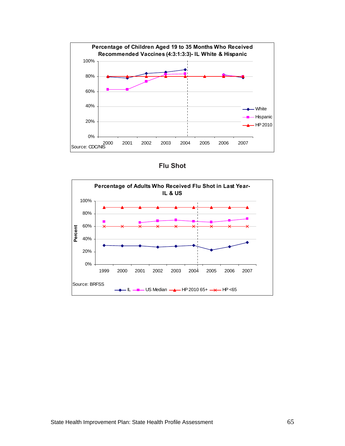

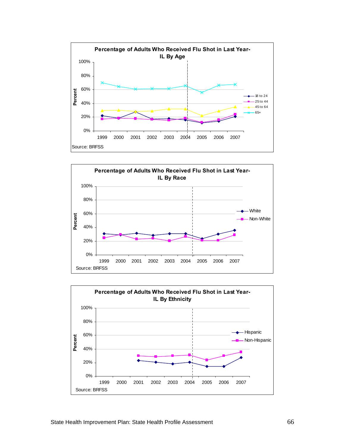



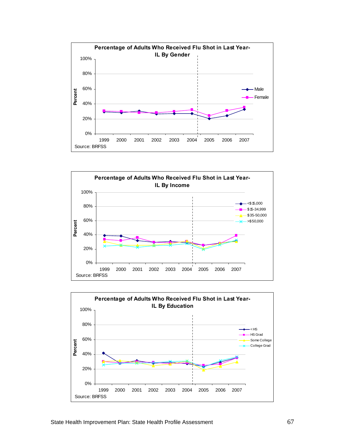



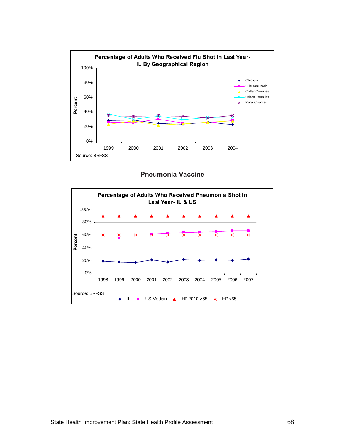

# **Pneumonia Vaccine**

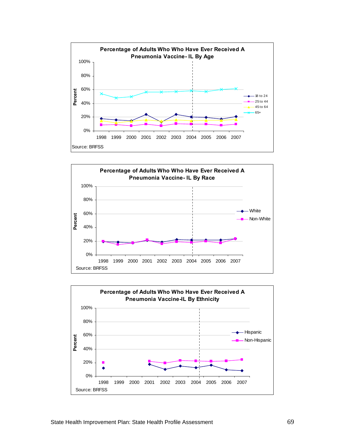



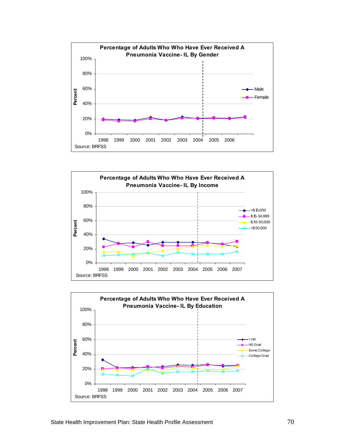



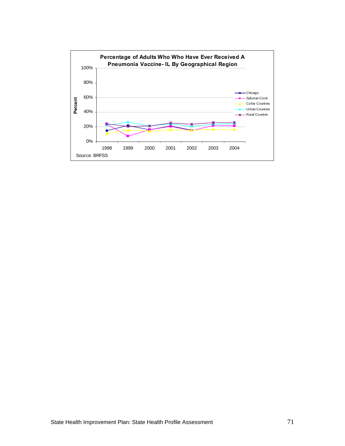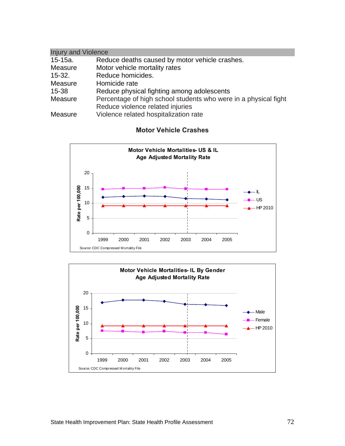| <b>Injury and Violence</b> |                                                                 |  |
|----------------------------|-----------------------------------------------------------------|--|
| 15-15a.                    | Reduce deaths caused by motor vehicle crashes.                  |  |
| Measure                    | Motor vehicle mortality rates                                   |  |
| $15 - 32.$                 | Reduce homicides.                                               |  |
| Measure                    | Homicide rate                                                   |  |
| 15-38                      | Reduce physical fighting among adolescents                      |  |
| Measure                    | Percentage of high school students who were in a physical fight |  |
|                            | Reduce violence related injuries                                |  |
| Measure                    | Violence related hospitalization rate                           |  |

### **Motor Vehicle Crashes**



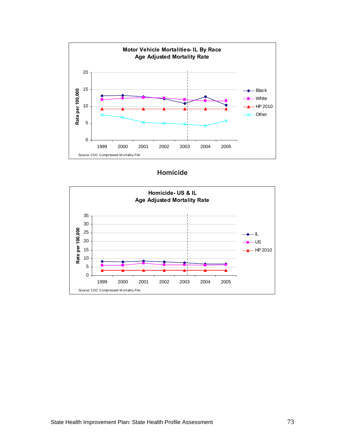

| <b>Homicide</b> |
|-----------------|
|-----------------|

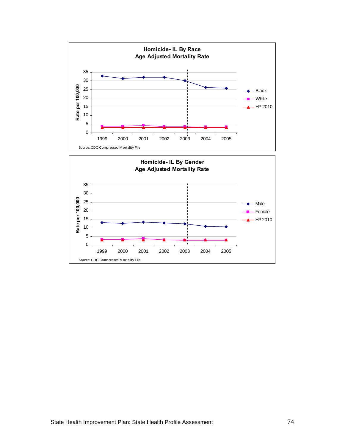

1999 2000 2001 2002 2003 2004 2005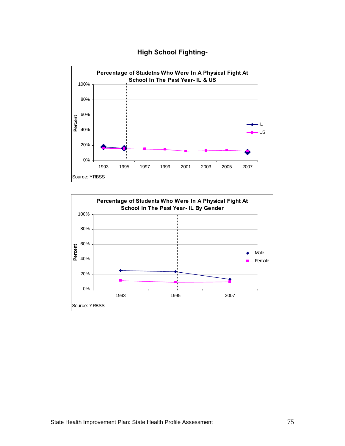#### **High School Fighting-**



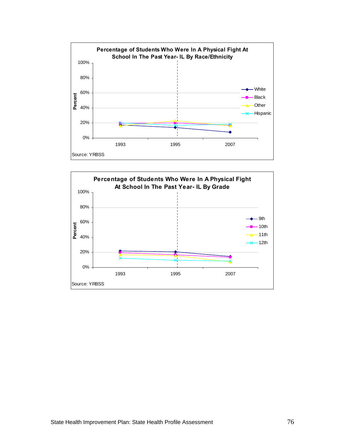

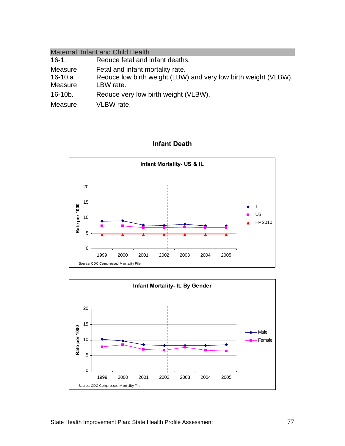| Maternal, Infant and Child Health |                                                                 |  |  |
|-----------------------------------|-----------------------------------------------------------------|--|--|
| $16-1.$                           | Reduce fetal and infant deaths.                                 |  |  |
| Measure                           | Fetal and infant mortality rate.                                |  |  |
| $16-10.a$                         | Reduce low birth weight (LBW) and very low birth weight (VLBW). |  |  |
| Measure                           | LBW rate.                                                       |  |  |
| $16-10b.$                         | Reduce very low birth weight (VLBW).                            |  |  |
| Measure                           | VLBW rate.                                                      |  |  |

### **Infant Death**



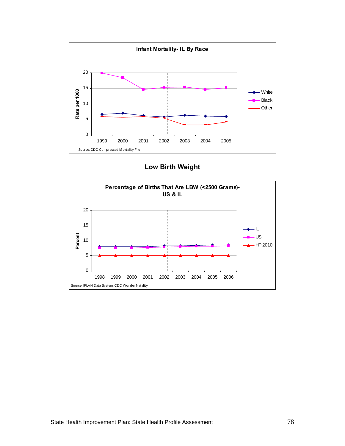

**Low Birth Weight** 

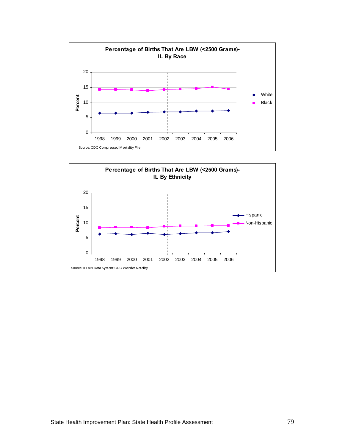

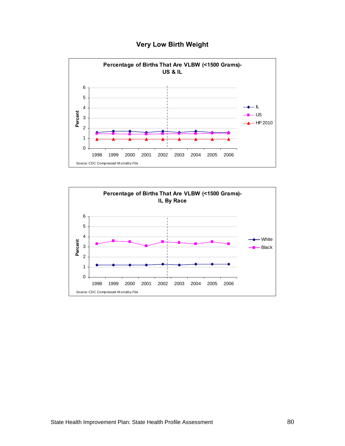

### **Very Low Birth Weight**

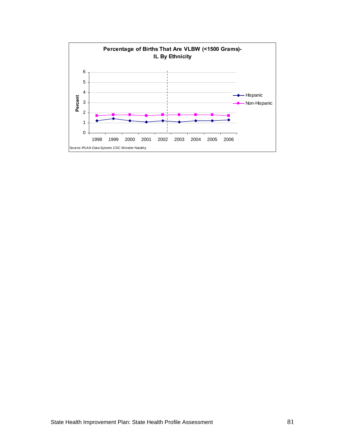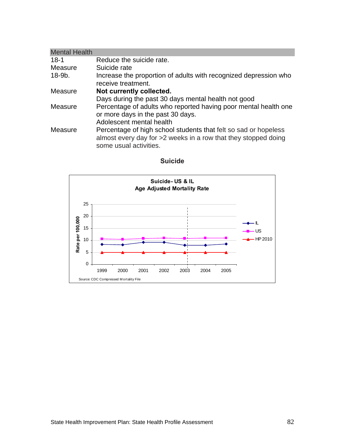| <b>Mental Health</b> |                                                                  |
|----------------------|------------------------------------------------------------------|
| $18-1$               | Reduce the suicide rate.                                         |
| Measure              | Suicide rate                                                     |
| $18-9b$ .            | Increase the proportion of adults with recognized depression who |
|                      | receive treatment.                                               |
| Measure              | Not currently collected.                                         |
|                      | Days during the past 30 days mental health not good              |
| Measure              | Percentage of adults who reported having poor mental health one  |
|                      | or more days in the past 30 days.                                |
|                      | Adolescent mental health                                         |
| Measure              | Percentage of high school students that felt so sad or hopeless  |
|                      | almost every day for >2 weeks in a row that they stopped doing   |
|                      | some usual activities.                                           |



### **Suicide**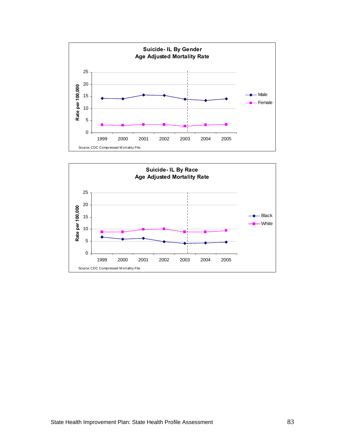

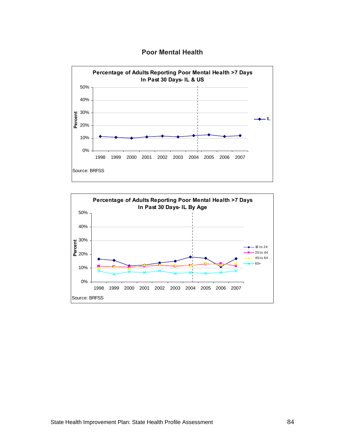



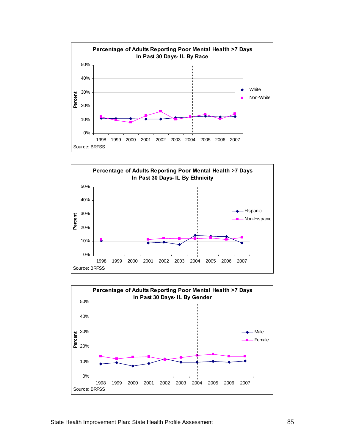



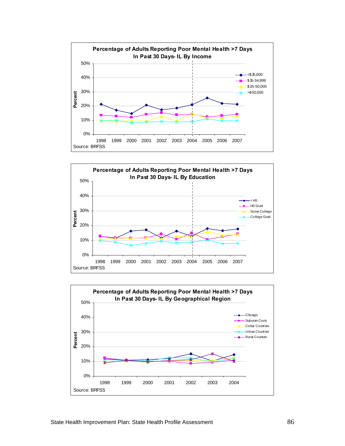



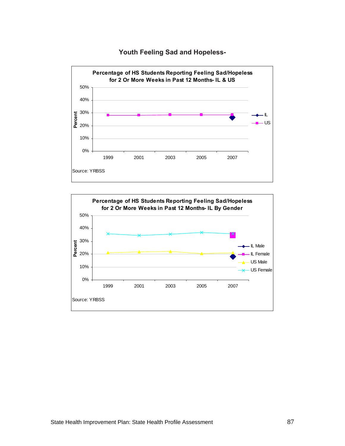

**Youth Feeling Sad and Hopeless-**

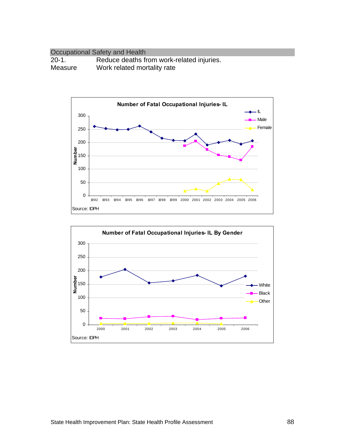#### Occupational Safety and Health 20-1. Reduce deaths from work-related injuries. Measure Work related mortality rate



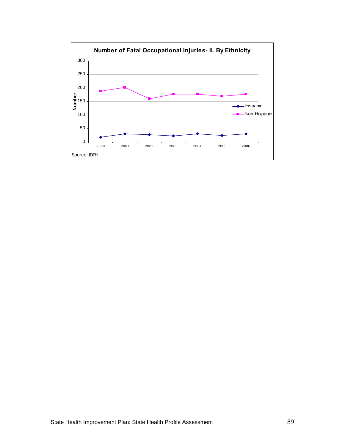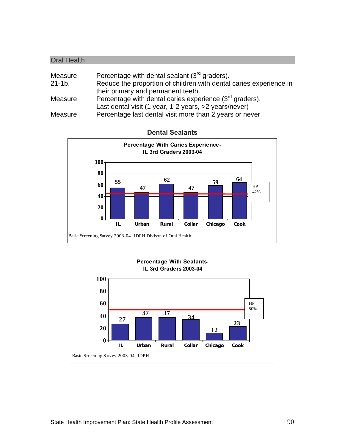| <b>Oral Health</b> |                                                                    |
|--------------------|--------------------------------------------------------------------|
|                    |                                                                    |
| Measure            | Percentage with dental sealant (3rd graders).                      |
| $21 - 1b$ .        | Reduce the proportion of children with dental caries experience in |
|                    | their primary and permanent teeth.                                 |
| Measure            | Percentage with dental caries experience $(3^{rd}$ graders).       |
|                    | Last dental visit (1 year, 1-2 years, >2 years/never)              |
| Measure            | Percentage last dental visit more than 2 years or never            |



**Dental Sealants** 

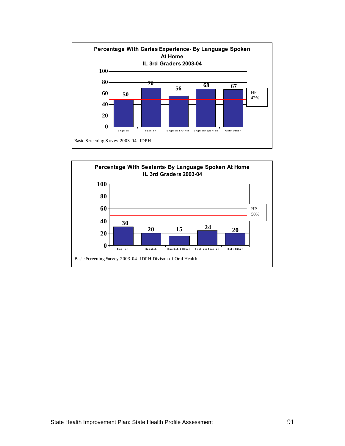

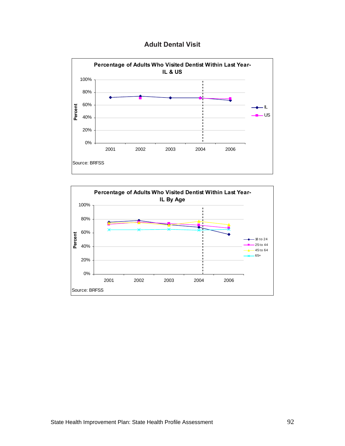



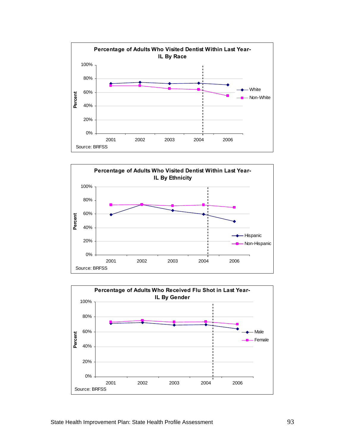



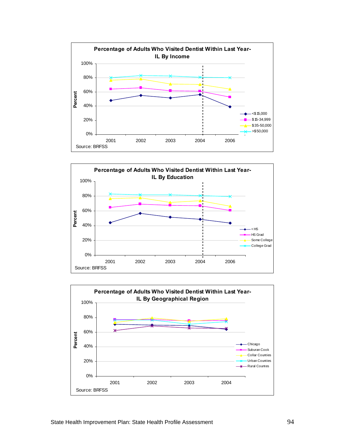



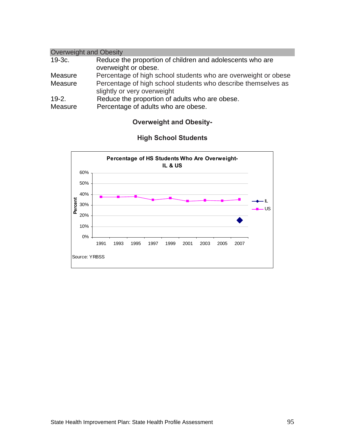| <b>Overweight and Obesity</b> |                                                                                              |  |
|-------------------------------|----------------------------------------------------------------------------------------------|--|
| $19-3c.$                      | Reduce the proportion of children and adolescents who are<br>overweight or obese.            |  |
| Measure                       | Percentage of high school students who are overweight or obese                               |  |
| Measure                       | Percentage of high school students who describe themselves as<br>slightly or very overweight |  |
| $19-2.$                       | Reduce the proportion of adults who are obese.                                               |  |
| Measure                       | Percentage of adults who are obese.                                                          |  |

# **Overweight and Obesity-**



# **High School Students**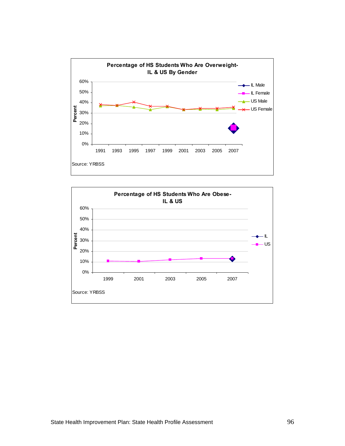

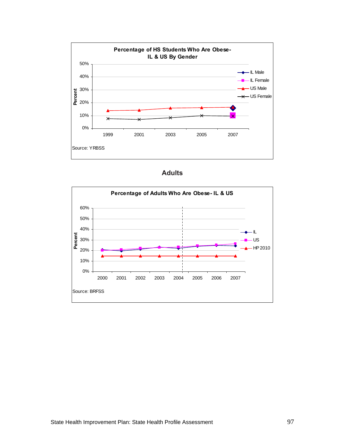

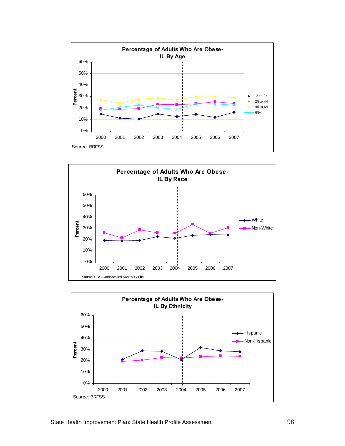



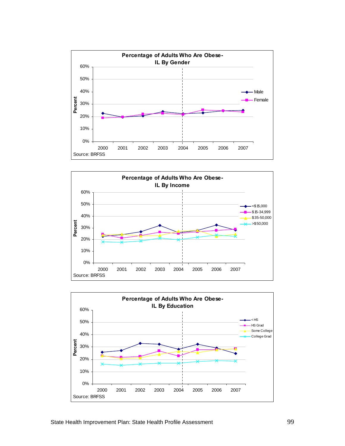



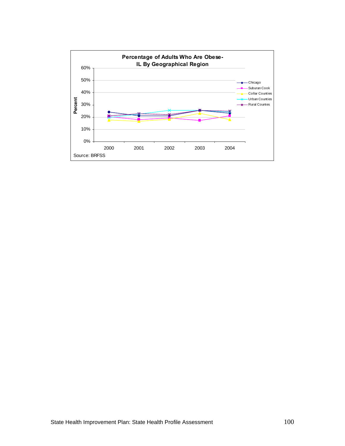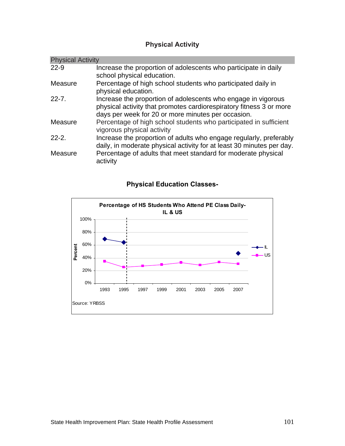# **Physical Activity**

| <b>Physical Activity</b> |                                                                                                                                                                                            |  |
|--------------------------|--------------------------------------------------------------------------------------------------------------------------------------------------------------------------------------------|--|
| $22 - 9$                 | Increase the proportion of adolescents who participate in daily<br>school physical education.                                                                                              |  |
| Measure                  | Percentage of high school students who participated daily in<br>physical education.                                                                                                        |  |
| $22 - 7$ .               | Increase the proportion of adolescents who engage in vigorous<br>physical activity that promotes cardiorespiratory fitness 3 or more<br>days per week for 20 or more minutes per occasion. |  |
| Measure                  | Percentage of high school students who participated in sufficient<br>vigorous physical activity                                                                                            |  |
| $22 - 2$ .               | Increase the proportion of adults who engage regularly, preferably<br>daily, in moderate physical activity for at least 30 minutes per day.                                                |  |
| Measure                  | Percentage of adults that meet standard for moderate physical<br>activity                                                                                                                  |  |

# **Percentage of HS Students Who Attend PE Class Daily-IL & US** 0% 20% 40% 60% 80% 100% 1993 1995 1997 1999 2001 2003 2005 2007 Source: YRBSS **Percent** IL US

# **Physical Education Classes-**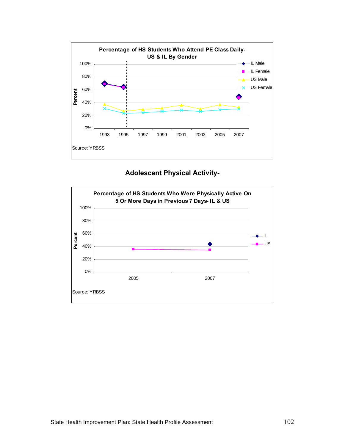

### **Adolescent Physical Activity-**

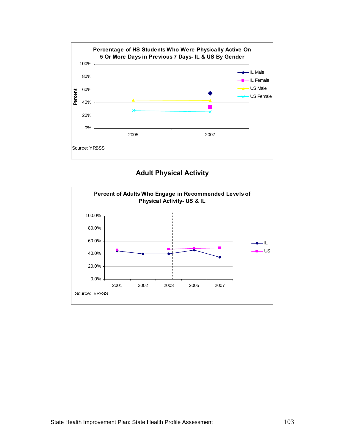

**Adult Physical Activity** 

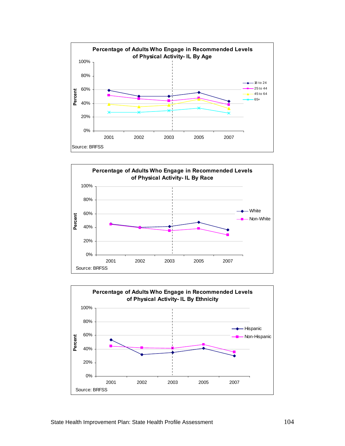



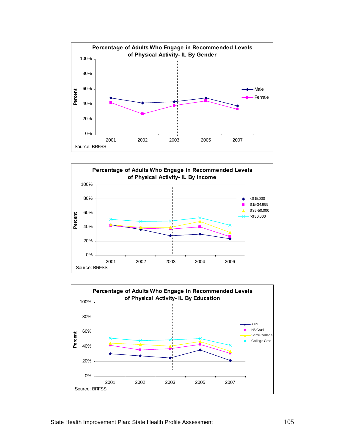



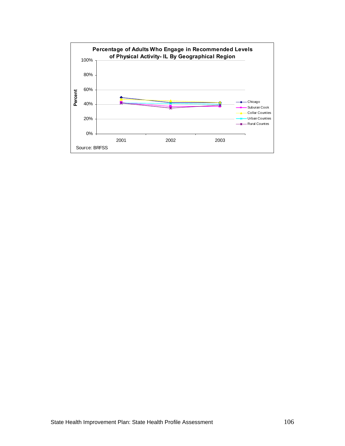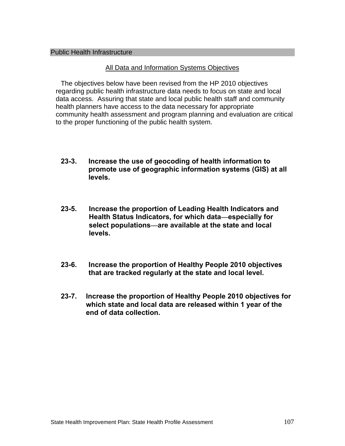#### Public Health Infrastructure

### All Data and Information Systems Objectives

The objectives below have been revised from the HP 2010 objectives regarding public health infrastructure data needs to focus on state and local data access. Assuring that state and local public health staff and community health planners have access to the data necessary for appropriate community health assessment and program planning and evaluation are critical to the proper functioning of the public health system.

- **23-3. Increase the use of geocoding of health information to promote use of geographic information systems (GIS) at all levels.**
- **23-5. Increase the proportion of Leading Health Indicators and Health Status Indicators, for which data—especially for select populations—are available at the state and local levels.**
- **23-6. Increase the proportion of Healthy People 2010 objectives that are tracked regularly at the state and local level.**
- **23-7. Increase the proportion of Healthy People 2010 objectives for which state and local data are released within 1 year of the end of data collection.**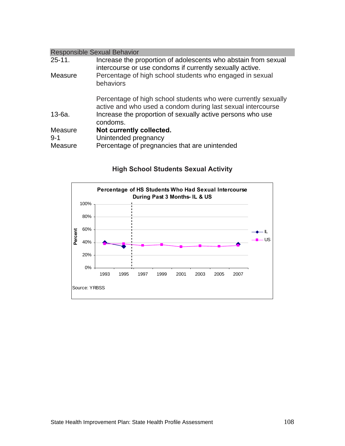| <b>Responsible Sexual Behavior</b> |                                                                                                                               |  |  |
|------------------------------------|-------------------------------------------------------------------------------------------------------------------------------|--|--|
| $25 - 11.$                         | Increase the proportion of adolescents who abstain from sexual<br>intercourse or use condoms if currently sexually active.    |  |  |
| Measure                            | Percentage of high school students who engaged in sexual<br>behaviors                                                         |  |  |
|                                    | Percentage of high school students who were currently sexually<br>active and who used a condom during last sexual intercourse |  |  |
| $13-6a$ .                          | Increase the proportion of sexually active persons who use<br>condoms.                                                        |  |  |
| Measure                            | Not currently collected.                                                                                                      |  |  |
| $9 - 1$                            | Unintended pregnancy                                                                                                          |  |  |
| Measure                            | Percentage of pregnancies that are unintended                                                                                 |  |  |

# **High School Students Sexual Activity**

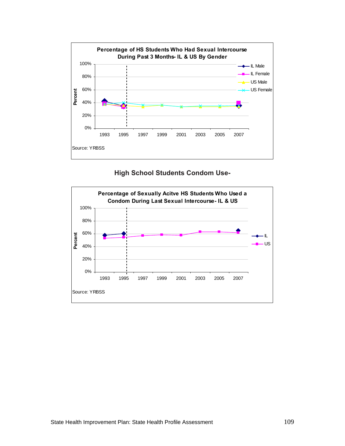

# **High School Students Condom Use-**

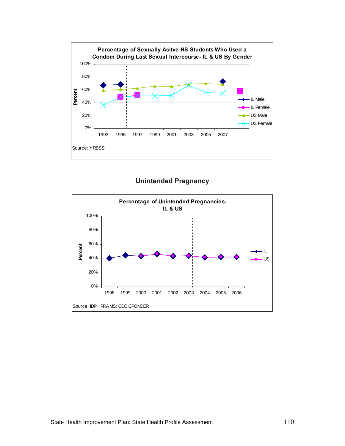

**Unintended Pregnancy** 

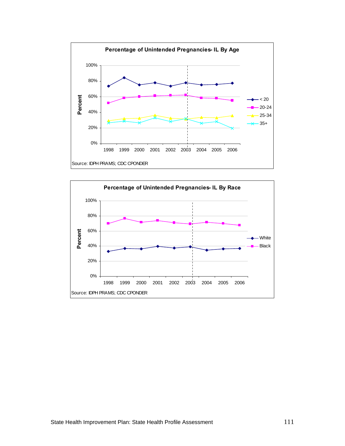

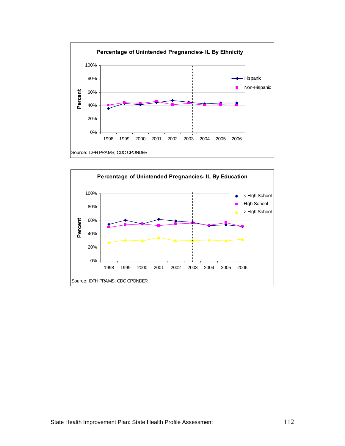

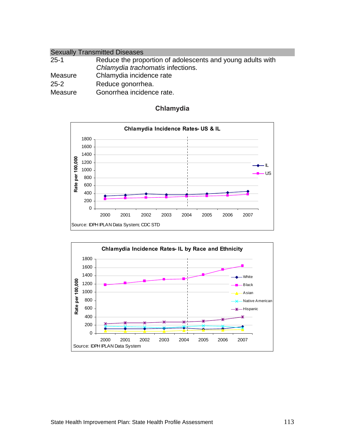| <b>Sexually Transmitted Diseases</b> |                                                            |  |
|--------------------------------------|------------------------------------------------------------|--|
| $25 - 1$                             | Reduce the proportion of adolescents and young adults with |  |
|                                      | Chlamydia trachomatis infections.                          |  |
| Measure                              | Chlamydia incidence rate                                   |  |
| $25 - 2$                             | Reduce gonorrhea.                                          |  |
| Measure                              | Gonorrhea incidence rate.                                  |  |

#### **Chlamydia Incidence Rates- US & IL** 0 200 400 600 800 1000 1200 1400 1600 1800 2000 2001 2002 2003 2004 2005 2006 2007 **Solution**<br> **Source: IDPH IPLAN Data System; CDC STD**<br>
Source: IDPH IPLAN Data System; CDC STD IL US



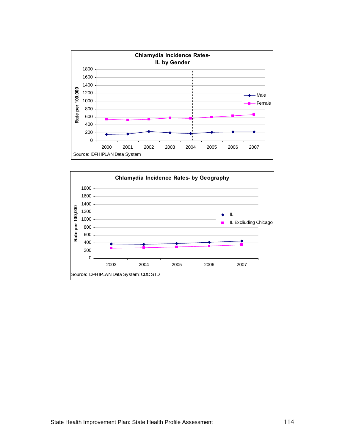

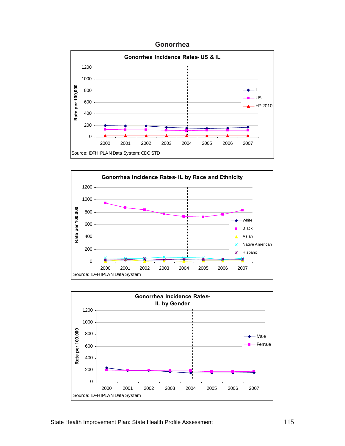





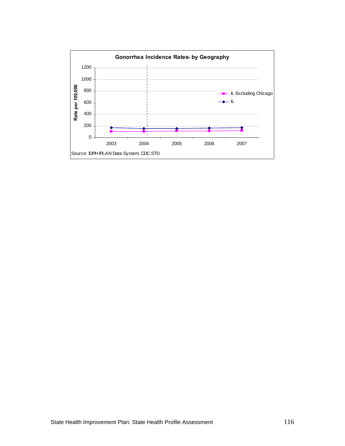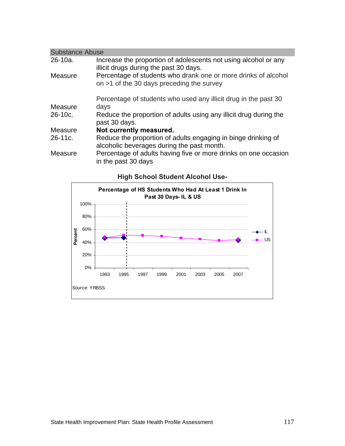| <b>Substance Abuse</b> |                                                                                                               |  |  |
|------------------------|---------------------------------------------------------------------------------------------------------------|--|--|
| $26-10a$ .             | Increase the proportion of adolescents not using alcohol or any<br>illicit drugs during the past 30 days.     |  |  |
| Measure                | Percentage of students who drank one or more drinks of alcohol<br>on $>1$ of the 30 days preceding the survey |  |  |
|                        | Percentage of students who used any illicit drug in the past 30                                               |  |  |
| Measure                | days                                                                                                          |  |  |
| $26-10c$ .             | Reduce the proportion of adults using any illicit drug during the<br>past 30 days.                            |  |  |
| Measure                | Not currently measured.                                                                                       |  |  |
| $26-11c.$              | Reduce the proportion of adults engaging in binge drinking of<br>alcoholic beverages during the past month.   |  |  |
| Measure                | Percentage of adults having five or more drinks on one occasion<br>in the past 30 days                        |  |  |

### **High School Student Alcohol Use-**

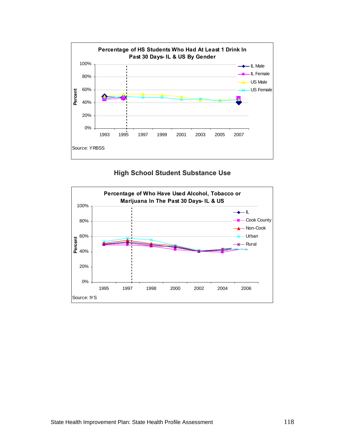

### **High School Student Substance Use**

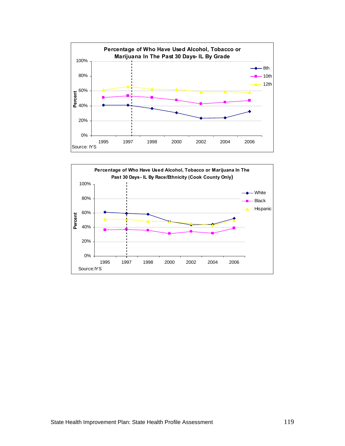

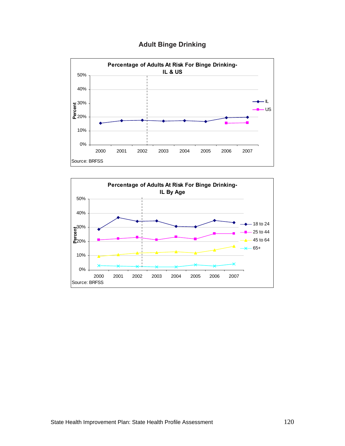# **Adult Binge Drinking**



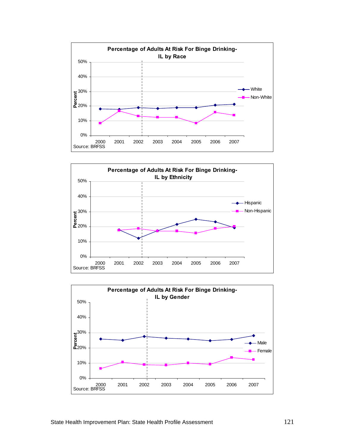



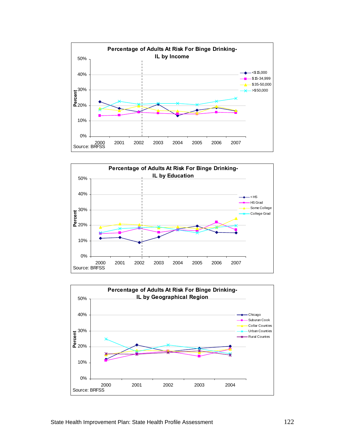



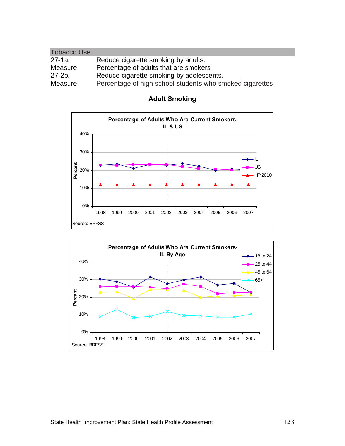| <b>Tobacco Use</b> |                                                          |
|--------------------|----------------------------------------------------------|
| $27 - 1a$ .        | Reduce cigarette smoking by adults.                      |
| Measure            | Percentage of adults that are smokers                    |
| $27 - 2b$ .        | Reduce cigarette smoking by adolescents.                 |
| Measure            | Percentage of high school students who smoked cigarettes |



# **Adult Smoking**

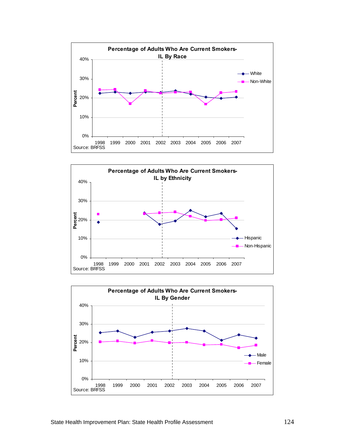



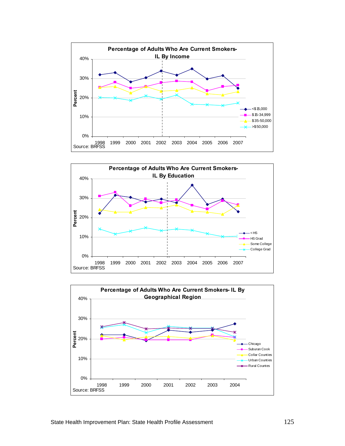



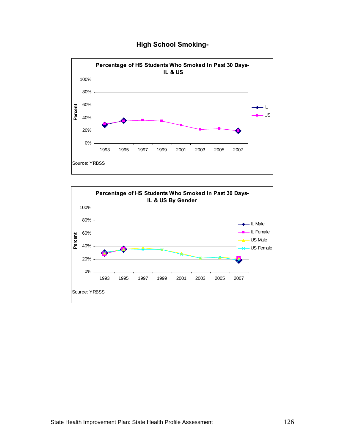